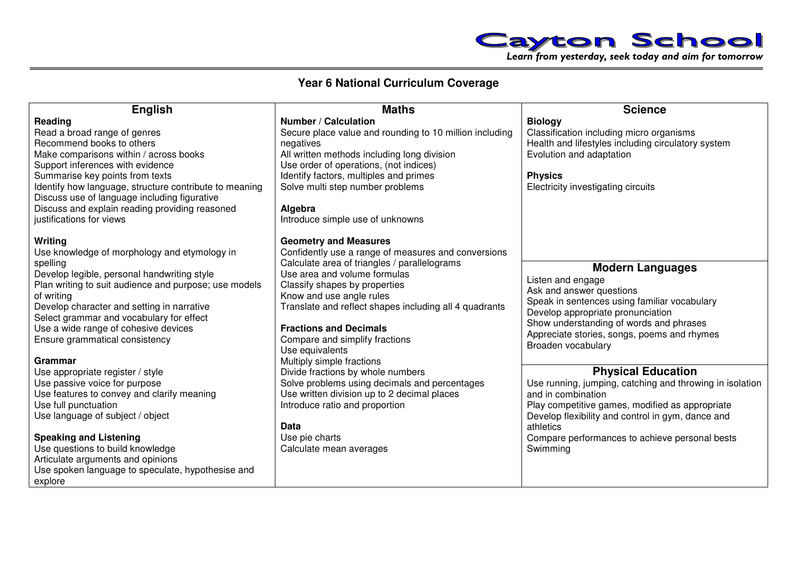

## **Year 6 National Curriculum Coverage**

| <b>English</b>                                                                                                                                                                                                                                                                                                | <b>Maths</b>                                                                                                                                                                                                                                                                              | <b>Science</b>                                                                                                                                                                                                                                                                |
|---------------------------------------------------------------------------------------------------------------------------------------------------------------------------------------------------------------------------------------------------------------------------------------------------------------|-------------------------------------------------------------------------------------------------------------------------------------------------------------------------------------------------------------------------------------------------------------------------------------------|-------------------------------------------------------------------------------------------------------------------------------------------------------------------------------------------------------------------------------------------------------------------------------|
| Reading<br>Read a broad range of genres<br>Recommend books to others<br>Make comparisons within / across books<br>Support inferences with evidence<br>Summarise key points from texts                                                                                                                         | <b>Number / Calculation</b><br>Secure place value and rounding to 10 million including<br>negatives<br>All written methods including long division<br>Use order of operations, (not indices)<br>Identify factors, multiples and primes                                                    | <b>Biology</b><br>Classification including micro organisms<br>Health and lifestyles including circulatory system<br>Evolution and adaptation<br><b>Physics</b>                                                                                                                |
| Identify how language, structure contribute to meaning<br>Discuss use of language including figurative<br>Discuss and explain reading providing reasoned<br>justifications for views                                                                                                                          | Solve multi step number problems<br>Algebra<br>Introduce simple use of unknowns                                                                                                                                                                                                           | Electricity investigating circuits                                                                                                                                                                                                                                            |
| Writing<br>Use knowledge of morphology and etymology in                                                                                                                                                                                                                                                       | <b>Geometry and Measures</b><br>Confidently use a range of measures and conversions                                                                                                                                                                                                       |                                                                                                                                                                                                                                                                               |
| spelling<br>Develop legible, personal handwriting style<br>Plan writing to suit audience and purpose; use models<br>of writing<br>Develop character and setting in narrative<br>Select grammar and vocabulary for effect<br>Use a wide range of cohesive devices<br>Ensure grammatical consistency<br>Grammar | Calculate area of triangles / parallelograms<br>Use area and volume formulas<br>Classify shapes by properties<br>Know and use angle rules<br>Translate and reflect shapes including all 4 quadrants<br><b>Fractions and Decimals</b><br>Compare and simplify fractions<br>Use equivalents | <b>Modern Languages</b><br>Listen and engage<br>Ask and answer questions<br>Speak in sentences using familiar vocabulary<br>Develop appropriate pronunciation<br>Show understanding of words and phrases<br>Appreciate stories, songs, poems and rhymes<br>Broaden vocabulary |
| Use appropriate register / style<br>Use passive voice for purpose<br>Use features to convey and clarify meaning<br>Use full punctuation<br>Use language of subject / object                                                                                                                                   | Multiply simple fractions<br>Divide fractions by whole numbers<br>Solve problems using decimals and percentages<br>Use written division up to 2 decimal places<br>Introduce ratio and proportion<br>Data                                                                                  | <b>Physical Education</b><br>Use running, jumping, catching and throwing in isolation<br>and in combination<br>Play competitive games, modified as appropriate<br>Develop flexibility and control in gym, dance and<br>athletics                                              |
| <b>Speaking and Listening</b><br>Use questions to build knowledge<br>Articulate arguments and opinions<br>Use spoken language to speculate, hypothesise and<br>explore                                                                                                                                        | Use pie charts<br>Calculate mean averages                                                                                                                                                                                                                                                 | Compare performances to achieve personal bests<br>Swimming                                                                                                                                                                                                                    |